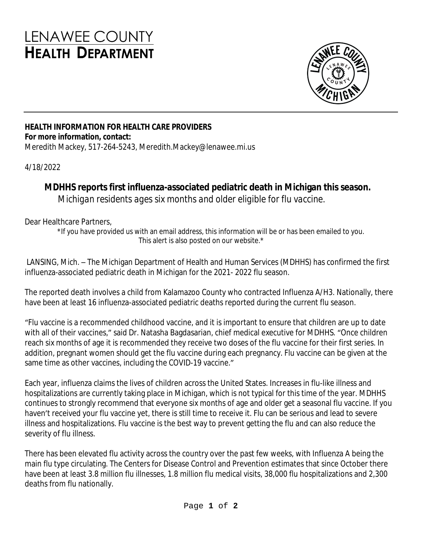## **LENAWEE COUNTY HEALTH DEPARTMENT**



## **HEALTH INFORMATION FOR HEALTH CARE PROVIDERS For more information, contact:**

Meredith Mackey, 517-264-5243, Meredith.Mackey@lenawee.mi.us

4/18/2022

## **MDHHS reports first influenza-associated pediatric death in Michigan this season.**

*Michigan residents ages six months and older eligible for flu vaccine.*

Dear Healthcare Partners,

\*If you have provided us with an email address, this information will be or has been emailed to you. This alert is also posted on our website.\*

LANSING, Mich. – The Michigan Department of Health and Human Services (MDHHS) has confirmed the first influenza-associated pediatric death in Michigan for the 2021- 2022 flu season.

The reported death involves a child from Kalamazoo County who contracted Influenza A/H3. Nationally, there have been at least 16 influenza-associated pediatric deaths reported during the current flu season.

"Flu vaccine is a recommended childhood vaccine, and it is important to ensure that children are up to date with all of their vaccines," said Dr. Natasha Bagdasarian, chief medical executive for MDHHS. "Once children reach six months of age it is recommended they receive two doses of the flu vaccine for their first series. In addition, pregnant women should get the flu vaccine during each pregnancy. Flu vaccine can be given at the same time as other vaccines, including the COVID-19 vaccine."

Each year, influenza claims the lives of children across the United States. Increases in flu-like illness and hospitalizations are currently taking place in Michigan, which is not typical for this time of the year. MDHHS continues to strongly recommend that everyone six months of age and older get a seasonal flu vaccine. If you haven't received your flu vaccine yet, there is still time to receive it. Flu can be serious and lead to severe illness and hospitalizations. Flu vaccine is the best way to prevent getting the flu and can also reduce the severity of flu illness.

There has been elevated flu activity across the country over the past few weeks, with Influenza A being the main flu type circulating. The Centers for Disease Control and Prevention estimates that since October there have been at least 3.8 million flu illnesses, 1.8 million flu medical visits, 38,000 flu hospitalizations and 2,300 deaths from flu nationally.